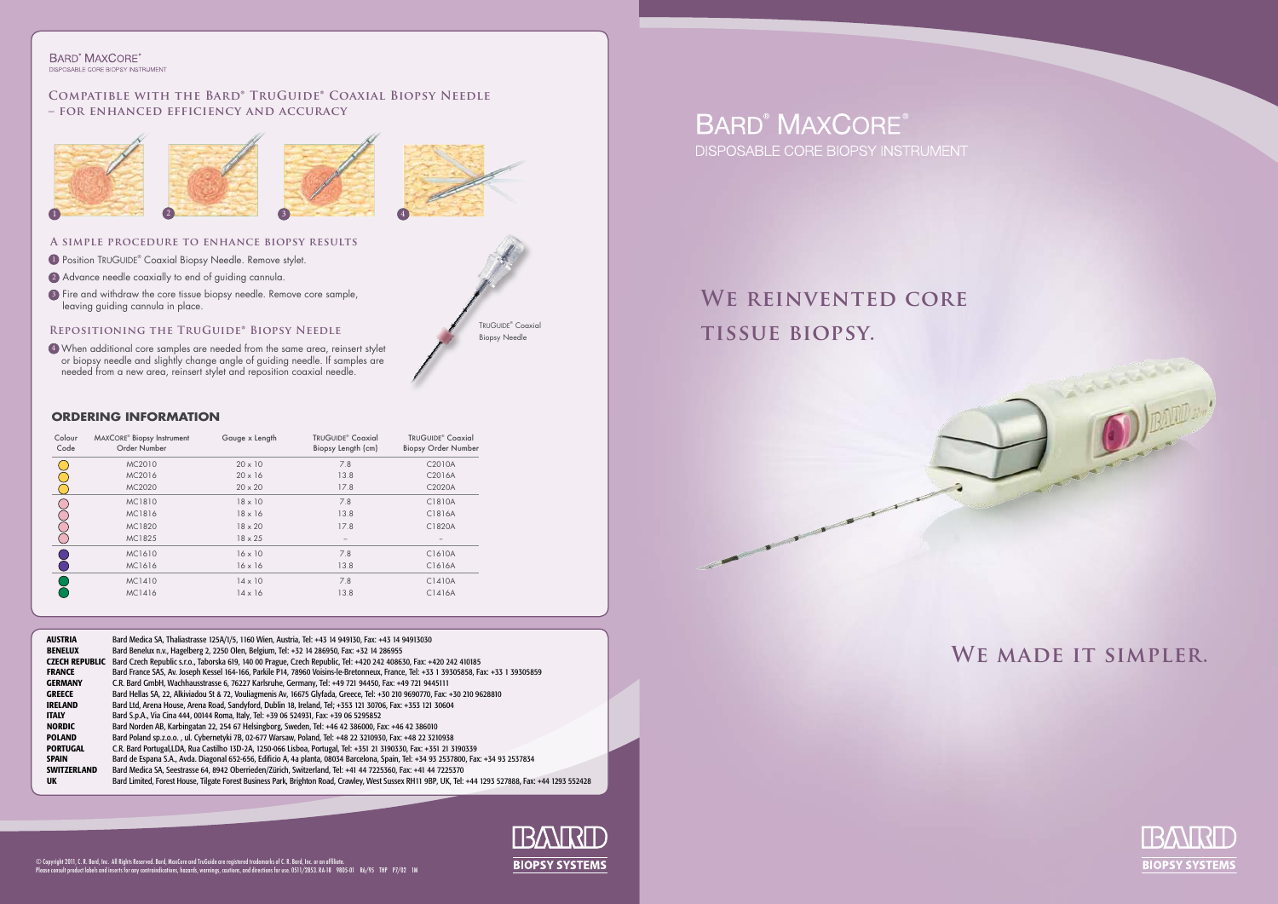#### **BARD**<sup>®</sup> MAXCORE<sup>®</sup> DISPOSABLE CORE BIOPSY INSTRUMENT

### **Compatible with the Bard® TruGuide® Coaxial Biopsy Needle – for enhanced efficiency and accuracy**

# **We made it simpler.**



# **We reinvented core tissue biopsy.**

© Copyright 2011, C. R. Bard, Inc. All Rights Reserved. Bard, MaxCore and TruGuide are registered trademarks of C. R. Bard, Inc. or an affiliate.<br>Please consult product labels and inserts for any contraindications, hazards



TRUGUIDE<sup>®</sup> Coaxial Biopsy Needle

# **BARD<sup>®</sup> MAXCORE®**

DISPOSABLE CORE BIOPSY INSTRUMENT

- **Position TRUGUIDE® Coaxial Biopsy Needle. Remove stylet.**
- 2) Advance needle coaxially to end of guiding cannula.
- <sup>3</sup>) Fire and withdraw the core tissue biopsy needle. Remove core sample, leaving guiding cannula in place.



### **A simple procedure to enhance biopsy results**

## **Repositioning the TruGuide® Biopsy Needle**

When additional core samples are needed from the same area, reinsert stylet 42 or biopsy needle and slightly change angle of guiding needle. If samples are needed from a new area, reinsert stylet and reposition coaxial needle.

### **Ordering information**

| Colour<br>Code | <b>MAXCORE<sup>®</sup></b> Biopsy Instrument<br>Order Number | Gauge x Length | TRUGUIDE <sup>®</sup> Coaxial<br>Biopsy Length (cm) | TRUGUIDE <sup>®</sup> Coaxial<br><b>Biopsy Order Number</b> |
|----------------|--------------------------------------------------------------|----------------|-----------------------------------------------------|-------------------------------------------------------------|
|                | MC2010                                                       | $20 \times 10$ | 7.8                                                 | C2010A                                                      |
|                | MC2016                                                       | $20 \times 16$ | 13.8                                                | C2016A                                                      |
|                | MC2020                                                       | $20 \times 20$ | 17.8                                                | C2020A                                                      |
|                | MC1810                                                       | $18 \times 10$ | 7.8                                                 | C1810A                                                      |
|                | MC1816                                                       | $18 \times 16$ | 13.8                                                | C1816A                                                      |
|                | MC1820                                                       | $18 \times 20$ | 17.8                                                | C1820A                                                      |
|                | MC1825                                                       | $18 \times 25$ | $\qquad \qquad -$                                   |                                                             |
|                | MC1610                                                       | $16 \times 10$ | 7.8                                                 | C1610A                                                      |
|                | MC1616                                                       | $16 \times 16$ | 13.8                                                | C1616A                                                      |
|                | MC1410                                                       | $14 \times 10$ | 7.8                                                 | C1410A                                                      |
|                | MC1416                                                       | $14 \times 16$ | 13.8                                                | C1416A                                                      |

AUSTRIA Bard Medica SA, Thaliastrasse 125A/1/5, 1160 Wien, Austria, Tel: +43 14 949130, Fax: +43 14 94913030<br>BENELUX Bard Benelux n.v., Hagelberg 2, 2250 Olen, Belgium, Tel: +32 14 286950, Fax: +32 14 286955 Bard Benelux n.v., Hagelberg 2, 2250 Olen, Belgium, Tel: +32 14 286950, Fax: +32 14 286955 CZECH REPUBLIC Bard Czech Republic s.r.o., Taborska 619, 140 00 Prague, Czech Republic, Tel: +420 242 408630, Fax: +420 242 410185 FRANCE Bard France SAS, Av. Joseph Kessel 164-166, Parkile P14, 78960 Voisins-le-Bretonneux, France, Tel: +33 1 39305858, Fax: +33 1 39305859 GERMANY C.R. Bard GmbH, Wachhausstrasse 6, 76227 Karlsruhe, Germany, Tel: +49 721 94450, Fax: +49 721 9445111<br>CREECE Bard Hellas SA. 22. Alkiviadou St & 72. Vouliagmenis Av. 16675 Glyfada. Greece. Tel: +30 210 9690770. Fax GREECE Bard Hellas SA, 22, Alkiviadou St & 72, Vouliagmenis Av, 16675 Glyfada, Greece, Tel: +30 210 9690770, Fax: +30 210 9628810 IRELAND Bard Ltd, Arena House, Arena Road, Sandyford, Dublin 18, Ireland, Tel; +353 121 30706, Fax: +353 121 30604<br>ITALY Bard S.D.A., Via Cina 444, 00144 Roma, Italy, Tel: +39 06 524931, Fax: +39 06 5295852 ITALY Bard S.p.A., Via Cina 444, 00144 Roma, Italy, Tel: +39 06 524931, Fax: +39 06 5295852 Bard Norden AB, Karbingatan 22, 254 67 Helsingborg, Sweden, Tel: +46 42 386000, Fax: +46 42 386010 POLAND Bard Poland sp.z.o.o. , ul. Cybernetyki 7B, 02-677 Warsaw, Poland, Tel: +48 22 3210930, Fax: +48 22 3210938 PORTUGAL C.R. Bard Portugal,LDA, Rua Castilho 13D-2A, 1250-066 Lisboa, Portugal, Tel: +351 21 3190330, Fax: +351 21 3190339 SPAIN Bard de Espana S.A., Avda. Diagonal 652-656, Edificio A, 4a planta, 08034 Barcelona, Spain, Tel: +34 93 2537800, Fax: +34 93 2537834 SWITZERLAND Bard Medica SA, Seestrasse 64, 8942 Oberrieden/Zürich, Switzerland, Tel: +41 44 7225360, Fax: +41 44 7225370 Bard Limited, Forest House, Tilgate Forest Business Park, Brighton Road, Crawley, West Sussex RH11 9BP, UK, Tel: +44 1293 527888, Fax: +44 1293 552428